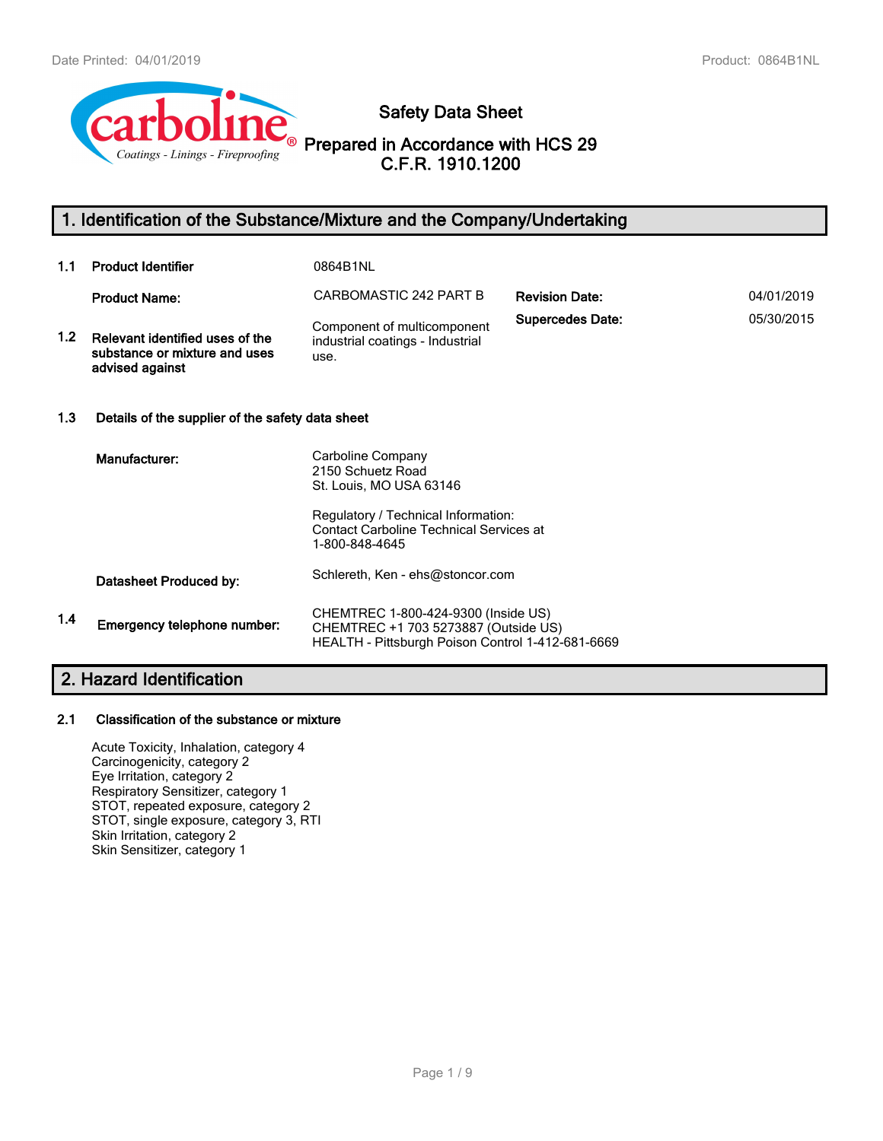

**Safety Data Sheet**

**Prepared in Accordance with HCS 29 C.F.R. 1910.1200**

# **1. Identification of the Substance/Mixture and the Company/Undertaking**

| 1.1 | <b>Product Identifier</b>                                                           | 0864B1NL                                                                                                                                            |                         |            |  |
|-----|-------------------------------------------------------------------------------------|-----------------------------------------------------------------------------------------------------------------------------------------------------|-------------------------|------------|--|
|     | <b>Product Name:</b>                                                                | CARBOMASTIC 242 PART B                                                                                                                              | <b>Revision Date:</b>   | 04/01/2019 |  |
| 1.2 | Relevant identified uses of the<br>substance or mixture and uses<br>advised against | Component of multicomponent<br>industrial coatings - Industrial<br>use.                                                                             | <b>Supercedes Date:</b> | 05/30/2015 |  |
| 1.3 | Details of the supplier of the safety data sheet                                    |                                                                                                                                                     |                         |            |  |
|     | Manufacturer:                                                                       | Carboline Company<br>2150 Schuetz Road<br>St. Louis, MO USA 63146<br>Regulatory / Technical Information:<br>Contact Carboline Technical Services at |                         |            |  |
|     |                                                                                     | 1-800-848-4645                                                                                                                                      |                         |            |  |
|     | Datasheet Produced by:                                                              | Schlereth, Ken - ehs@stoncor.com                                                                                                                    |                         |            |  |
| 1.4 | Emergency telephone number:                                                         | CHEMTREC 1-800-424-9300 (Inside US)<br>CHEMTREC +1 703 5273887 (Outside US)<br>HEALTH - Pittsburgh Poison Control 1-412-681-6669                    |                         |            |  |

# **2. Hazard Identification**

### **2.1 Classification of the substance or mixture**

Acute Toxicity, Inhalation, category 4 Carcinogenicity, category 2 Eye Irritation, category 2 Respiratory Sensitizer, category 1 STOT, repeated exposure, category 2 STOT, single exposure, category 3, RTI Skin Irritation, category 2 Skin Sensitizer, category 1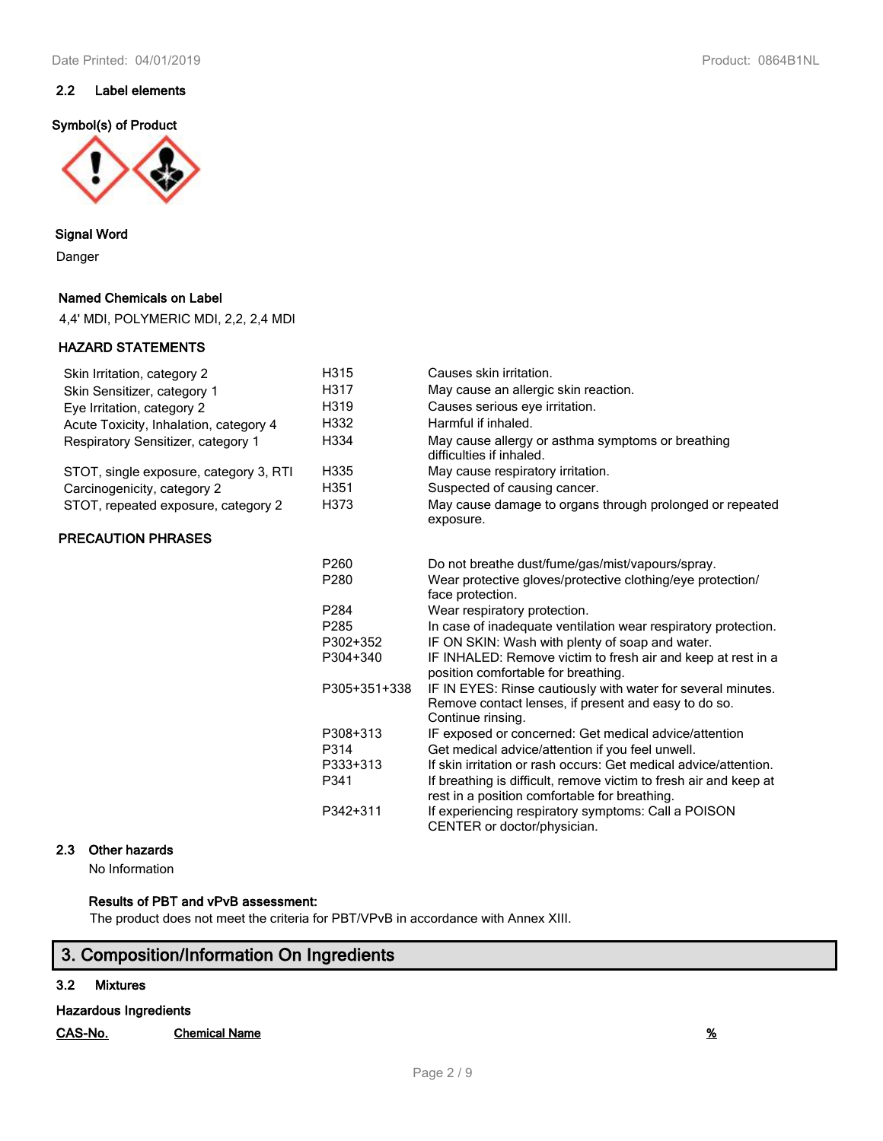### **2.2 Label elements**

#### **Symbol(s) of Product**



### **Signal Word**

Danger

### **Named Chemicals on Label**

4,4' MDI, POLYMERIC MDI, 2,2, 2,4 MDI

### **HAZARD STATEMENTS**

| Skin Irritation, category 2            | H315              | Causes skin irritation.                                                        |
|----------------------------------------|-------------------|--------------------------------------------------------------------------------|
| Skin Sensitizer, category 1            | H317              | May cause an allergic skin reaction.                                           |
| Eye Irritation, category 2             | H319              | Causes serious eye irritation.                                                 |
| Acute Toxicity, Inhalation, category 4 | H332              | Harmful if inhaled.                                                            |
| Respiratory Sensitizer, category 1     | H334              | May cause allergy or asthma symptoms or breathing<br>difficulties if inhaled.  |
| STOT, single exposure, category 3, RTI | H335              | May cause respiratory irritation.                                              |
| Carcinogenicity, category 2            | H351              | Suspected of causing cancer.                                                   |
| STOT, repeated exposure, category 2    | H373              | May cause damage to organs through prolonged or repeated<br>exposure.          |
| <b>PRECAUTION PHRASES</b>              |                   |                                                                                |
|                                        | P <sub>260</sub>  | Do not breathe dust/fume/gas/mist/vapours/spray.                               |
|                                        | P <sub>280</sub>  | Wear protective gloves/protective clothing/eye protection/<br>face protection. |
|                                        | P <sub>2</sub> 84 | Wear respiratory protection.                                                   |
|                                        | P <sub>285</sub>  | In case of inadequate ventilation wear respiratory protection.                 |
|                                        | P302+352          | IF ON SKIN: Wash with plenty of soap and water.                                |
|                                        | P304+340          | IF INHALED: Remove victim to fresh air and keep at rest in a                   |

No Information

### **Results of PBT and vPvB assessment:**

The product does not meet the criteria for PBT/VPvB in accordance with Annex XIII.

# **3. Composition/Information On Ingredients**

### **3.2 Mixtures**

**Hazardous Ingredients**

**CAS-No. Chemical Name %**

position comfortable for breathing. P305+351+338 IF IN EYES: Rinse cautiously with water for several minutes.

P308+313 IF exposed or concerned: Get medical advice/attention

P333+313 If skin irritation or rash occurs: Get medical advice/attention. P341 If breathing is difficult, remove victim to fresh air and keep at rest in a position comfortable for breathing. P342+311 If experiencing respiratory symptoms: Call a POISON CENTER or doctor/physician.

P314 Get medical advice/attention if you feel unwell.

Continue rinsing.

Page 2 / 9

Remove contact lenses, if present and easy to do so.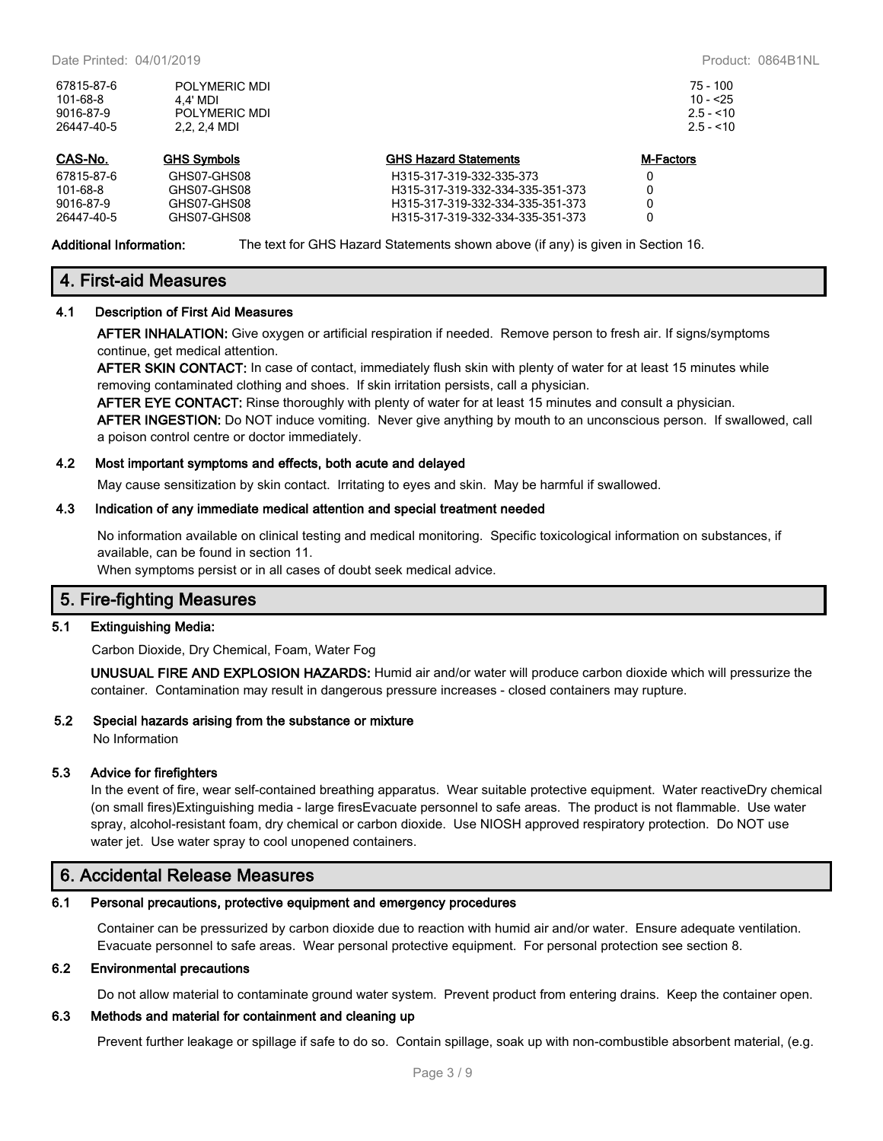| 67815-87-6<br>101-68-8<br>9016-87-9<br>26447-40-5 | POLYMERIC MDI<br>4.4' MDI<br>POLYMERIC MDI<br>2.2. 2.4 MDI |                                  | 75 - 100<br>$10 - 55$<br>$2.5 - 10$<br>$2.5 - 10$ |  |
|---------------------------------------------------|------------------------------------------------------------|----------------------------------|---------------------------------------------------|--|
| CAS-No.                                           | <b>GHS Symbols</b>                                         | <b>GHS Hazard Statements</b>     | M-Factors                                         |  |
| 67815-87-6                                        | GHS07-GHS08                                                | H315-317-319-332-335-373         | 0                                                 |  |
| 101-68-8                                          | GHS07-GHS08                                                | H315-317-319-332-334-335-351-373 | 0                                                 |  |
| 9016-87-9                                         | GHS07-GHS08                                                | H315-317-319-332-334-335-351-373 | 0                                                 |  |
| 26447-40-5                                        | GHS07-GHS08                                                | H315-317-319-332-334-335-351-373 | 0                                                 |  |

**Additional Information:** The text for GHS Hazard Statements shown above (if any) is given in Section 16.

# **4. First-aid Measures**

### **4.1 Description of First Aid Measures**

**AFTER INHALATION:** Give oxygen or artificial respiration if needed. Remove person to fresh air. If signs/symptoms continue, get medical attention.

**AFTER SKIN CONTACT:** In case of contact, immediately flush skin with plenty of water for at least 15 minutes while removing contaminated clothing and shoes. If skin irritation persists, call a physician.

**AFTER EYE CONTACT:** Rinse thoroughly with plenty of water for at least 15 minutes and consult a physician. **AFTER INGESTION:** Do NOT induce vomiting. Never give anything by mouth to an unconscious person. If swallowed, call a poison control centre or doctor immediately.

#### **4.2 Most important symptoms and effects, both acute and delayed**

May cause sensitization by skin contact. Irritating to eyes and skin. May be harmful if swallowed.

#### **4.3 Indication of any immediate medical attention and special treatment needed**

No information available on clinical testing and medical monitoring. Specific toxicological information on substances, if available, can be found in section 11.

When symptoms persist or in all cases of doubt seek medical advice.

### **5. Fire-fighting Measures**

### **5.1 Extinguishing Media:**

Carbon Dioxide, Dry Chemical, Foam, Water Fog

**UNUSUAL FIRE AND EXPLOSION HAZARDS:** Humid air and/or water will produce carbon dioxide which will pressurize the container. Contamination may result in dangerous pressure increases - closed containers may rupture.

#### **5.2 Special hazards arising from the substance or mixture**

No Information

### **5.3 Advice for firefighters**

In the event of fire, wear self-contained breathing apparatus. Wear suitable protective equipment. Water reactiveDry chemical (on small fires)Extinguishing media - large firesEvacuate personnel to safe areas. The product is not flammable. Use water spray, alcohol-resistant foam, dry chemical or carbon dioxide. Use NIOSH approved respiratory protection. Do NOT use water jet. Use water spray to cool unopened containers.

### **6. Accidental Release Measures**

### **6.1 Personal precautions, protective equipment and emergency procedures**

Container can be pressurized by carbon dioxide due to reaction with humid air and/or water. Ensure adequate ventilation. Evacuate personnel to safe areas. Wear personal protective equipment. For personal protection see section 8.

#### **6.2 Environmental precautions**

Do not allow material to contaminate ground water system. Prevent product from entering drains. Keep the container open.

### **6.3 Methods and material for containment and cleaning up**

Prevent further leakage or spillage if safe to do so. Contain spillage, soak up with non-combustible absorbent material, (e.g.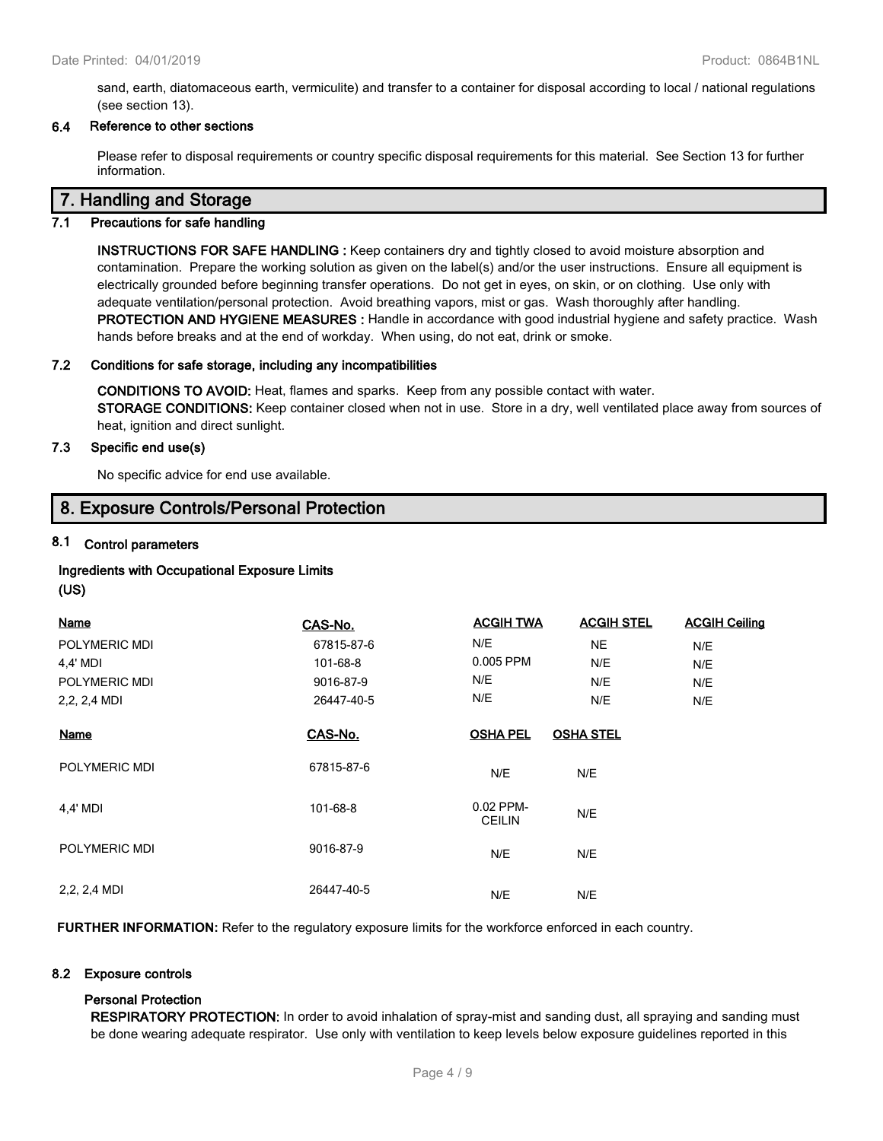sand, earth, diatomaceous earth, vermiculite) and transfer to a container for disposal according to local / national regulations (see section 13).

### **6.4 Reference to other sections**

Please refer to disposal requirements or country specific disposal requirements for this material. See Section 13 for further information.

### **7. Handling and Storage**

### **7.1 Precautions for safe handling**

**INSTRUCTIONS FOR SAFE HANDLING :** Keep containers dry and tightly closed to avoid moisture absorption and contamination. Prepare the working solution as given on the label(s) and/or the user instructions. Ensure all equipment is electrically grounded before beginning transfer operations. Do not get in eyes, on skin, or on clothing. Use only with adequate ventilation/personal protection. Avoid breathing vapors, mist or gas. Wash thoroughly after handling. **PROTECTION AND HYGIENE MEASURES :** Handle in accordance with good industrial hygiene and safety practice. Wash hands before breaks and at the end of workday. When using, do not eat, drink or smoke.

#### **7.2 Conditions for safe storage, including any incompatibilities**

**CONDITIONS TO AVOID:** Heat, flames and sparks. Keep from any possible contact with water. **STORAGE CONDITIONS:** Keep container closed when not in use. Store in a dry, well ventilated place away from sources of heat, ignition and direct sunlight.

#### **7.3 Specific end use(s)**

No specific advice for end use available.

### **8. Exposure Controls/Personal Protection**

### **8.1 Control parameters**

# **Ingredients with Occupational Exposure Limits**

**(US)**

| <b>Name</b>    | CAS-No.    | <b>ACGIH TWA</b>           | <b>ACGIH STEL</b> | <b>ACGIH Ceiling</b> |
|----------------|------------|----------------------------|-------------------|----------------------|
| POLYMERIC MDI  | 67815-87-6 | N/E                        | <b>NE</b>         | N/E                  |
| 4,4' MDI       | 101-68-8   | 0.005 PPM                  | N/E               | N/E                  |
| POLYMERIC MDI  | 9016-87-9  | N/E                        | N/E               | N/E                  |
| 2, 2, 2, 4 MDI | 26447-40-5 | N/E                        | N/E               | N/E                  |
| <b>Name</b>    | CAS-No.    | <b>OSHA PEL</b>            | <b>OSHA STEL</b>  |                      |
| POLYMERIC MDI  | 67815-87-6 | N/E                        | N/E               |                      |
| 4,4' MDI       | 101-68-8   | 0.02 PPM-<br><b>CEILIN</b> | N/E               |                      |
| POLYMERIC MDI  | 9016-87-9  | N/E                        | N/E               |                      |
| 2, 2, 2, 4 MDI | 26447-40-5 | N/E                        | N/E               |                      |

**FURTHER INFORMATION:** Refer to the regulatory exposure limits for the workforce enforced in each country.

### **8.2 Exposure controls**

### **Personal Protection**

**RESPIRATORY PROTECTION:** In order to avoid inhalation of spray-mist and sanding dust, all spraying and sanding must be done wearing adequate respirator. Use only with ventilation to keep levels below exposure guidelines reported in this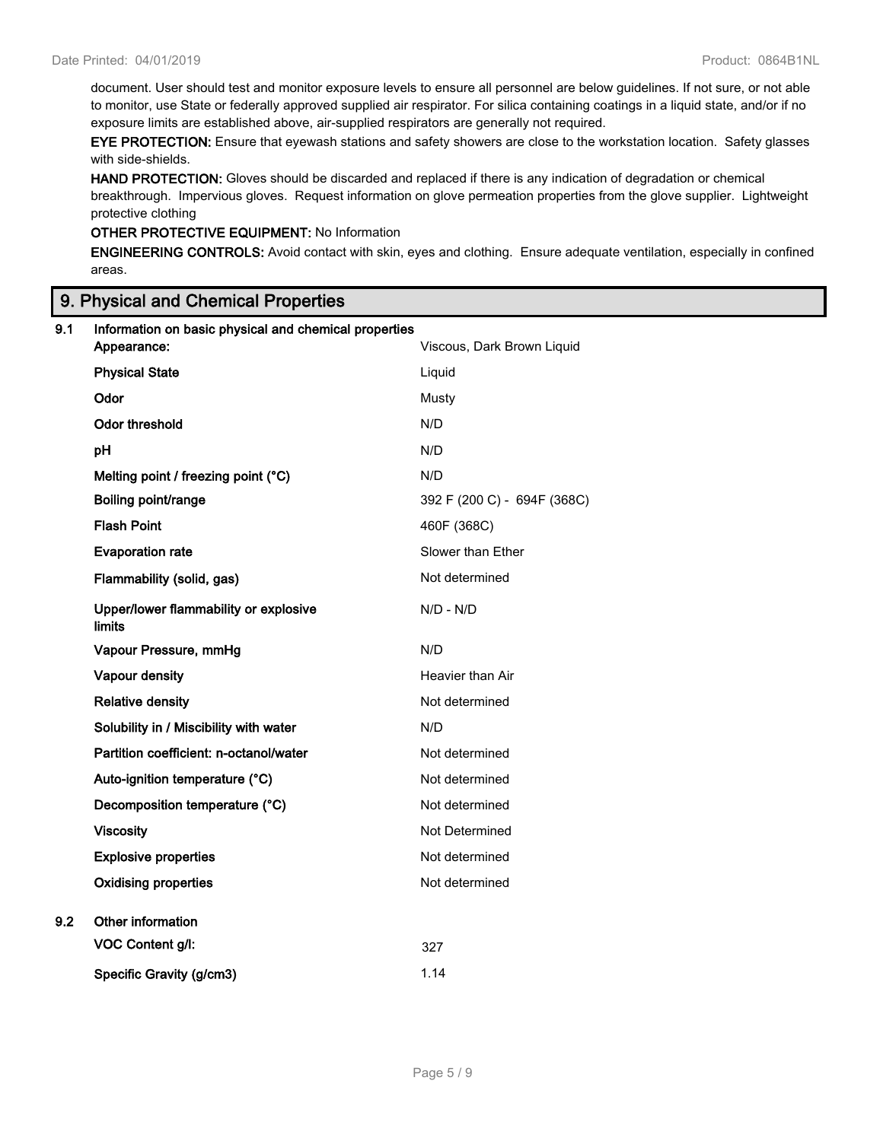document. User should test and monitor exposure levels to ensure all personnel are below guidelines. If not sure, or not able to monitor, use State or federally approved supplied air respirator. For silica containing coatings in a liquid state, and/or if no exposure limits are established above, air-supplied respirators are generally not required.

**EYE PROTECTION:** Ensure that eyewash stations and safety showers are close to the workstation location. Safety glasses with side-shields.

**HAND PROTECTION:** Gloves should be discarded and replaced if there is any indication of degradation or chemical breakthrough. Impervious gloves. Request information on glove permeation properties from the glove supplier. Lightweight protective clothing

### **OTHER PROTECTIVE EQUIPMENT:** No Information

**ENGINEERING CONTROLS:** Avoid contact with skin, eyes and clothing. Ensure adequate ventilation, especially in confined areas.

## **9. Physical and Chemical Properties**

| 9.1 | Information on basic physical and chemical properties<br>Appearance: | Viscous, Dark Brown Liquid  |
|-----|----------------------------------------------------------------------|-----------------------------|
|     | <b>Physical State</b>                                                | Liquid                      |
|     | Odor                                                                 | Musty                       |
|     | <b>Odor threshold</b>                                                | N/D                         |
|     | pH                                                                   | N/D                         |
|     | Melting point / freezing point (°C)                                  | N/D                         |
|     | Boiling point/range                                                  | 392 F (200 C) - 694F (368C) |
|     | <b>Flash Point</b>                                                   | 460F (368C)                 |
|     | <b>Evaporation rate</b>                                              | Slower than Ether           |
|     | Flammability (solid, gas)                                            | Not determined              |
|     | Upper/lower flammability or explosive<br><b>limits</b>               | $N/D - N/D$                 |
|     | Vapour Pressure, mmHg                                                | N/D                         |
|     | Vapour density                                                       | Heavier than Air            |
|     | <b>Relative density</b>                                              | Not determined              |
|     | Solubility in / Miscibility with water                               | N/D                         |
|     | Partition coefficient: n-octanol/water                               | Not determined              |
|     | Auto-ignition temperature (°C)                                       | Not determined              |
|     | Decomposition temperature (°C)                                       | Not determined              |
|     | <b>Viscosity</b>                                                     | Not Determined              |
|     | <b>Explosive properties</b>                                          | Not determined              |
|     | <b>Oxidising properties</b>                                          | Not determined              |
| 9.2 | Other information                                                    |                             |
|     | <b>VOC Content g/l:</b>                                              | 327                         |
|     | Specific Gravity (g/cm3)                                             | 1.14                        |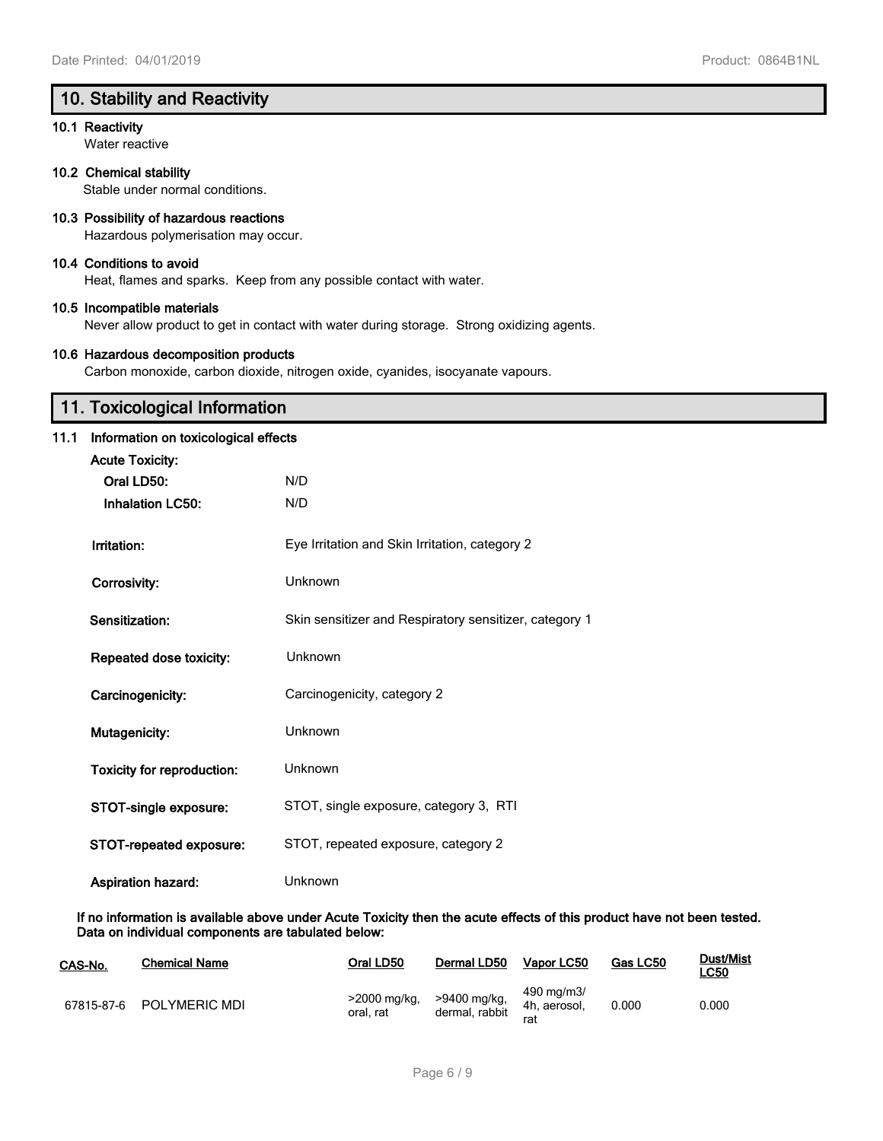# **10. Stability and Reactivity**

### **10.1 Reactivity**

Water reactive

### **10.2 Chemical stability**

Stable under normal conditions.

### **10.3 Possibility of hazardous reactions**

Hazardous polymerisation may occur.

### **10.4 Conditions to avoid**

Heat, flames and sparks. Keep from any possible contact with water.

### **10.5 Incompatible materials**

Never allow product to get in contact with water during storage. Strong oxidizing agents.

### **10.6 Hazardous decomposition products**

Carbon monoxide, carbon dioxide, nitrogen oxide, cyanides, isocyanate vapours.

# **11. Toxicological Information**

### **11.1 Information on toxicological effects**

| <b>Acute Toxicity:</b>            |                                                        |
|-----------------------------------|--------------------------------------------------------|
| Oral LD50:                        | N/D                                                    |
| <b>Inhalation LC50:</b>           | N/D                                                    |
|                                   |                                                        |
| Irritation:                       | Eye Irritation and Skin Irritation, category 2         |
| <b>Corrosivity:</b>               | Unknown                                                |
| Sensitization:                    | Skin sensitizer and Respiratory sensitizer, category 1 |
| Repeated dose toxicity:           | Unknown                                                |
| Carcinogenicity:                  | Carcinogenicity, category 2                            |
| Mutagenicity:                     | Unknown                                                |
| <b>Toxicity for reproduction:</b> | Unknown                                                |
| STOT-single exposure:             | STOT, single exposure, category 3, RTI                 |
| STOT-repeated exposure:           | STOT, repeated exposure, category 2                    |
| <b>Aspiration hazard:</b>         | Unknown                                                |

**If no information is available above under Acute Toxicity then the acute effects of this product have not been tested. Data on individual components are tabulated below:**

| CAS-No. | <b>Chemical Name</b>     | Oral LD50                 | Dermal LD50                    | Vapor LC50                        | Gas LC50 | Dust/Mist<br><u>LC50</u> |
|---------|--------------------------|---------------------------|--------------------------------|-----------------------------------|----------|--------------------------|
|         | 67815-87-6 POLYMERIC MDI | >2000 mg/kg,<br>oral. rat | >9400 mg/kg,<br>dermal, rabbit | 490 mg/m3/<br>4h. aerosol.<br>rat | 0.000    | 0.000                    |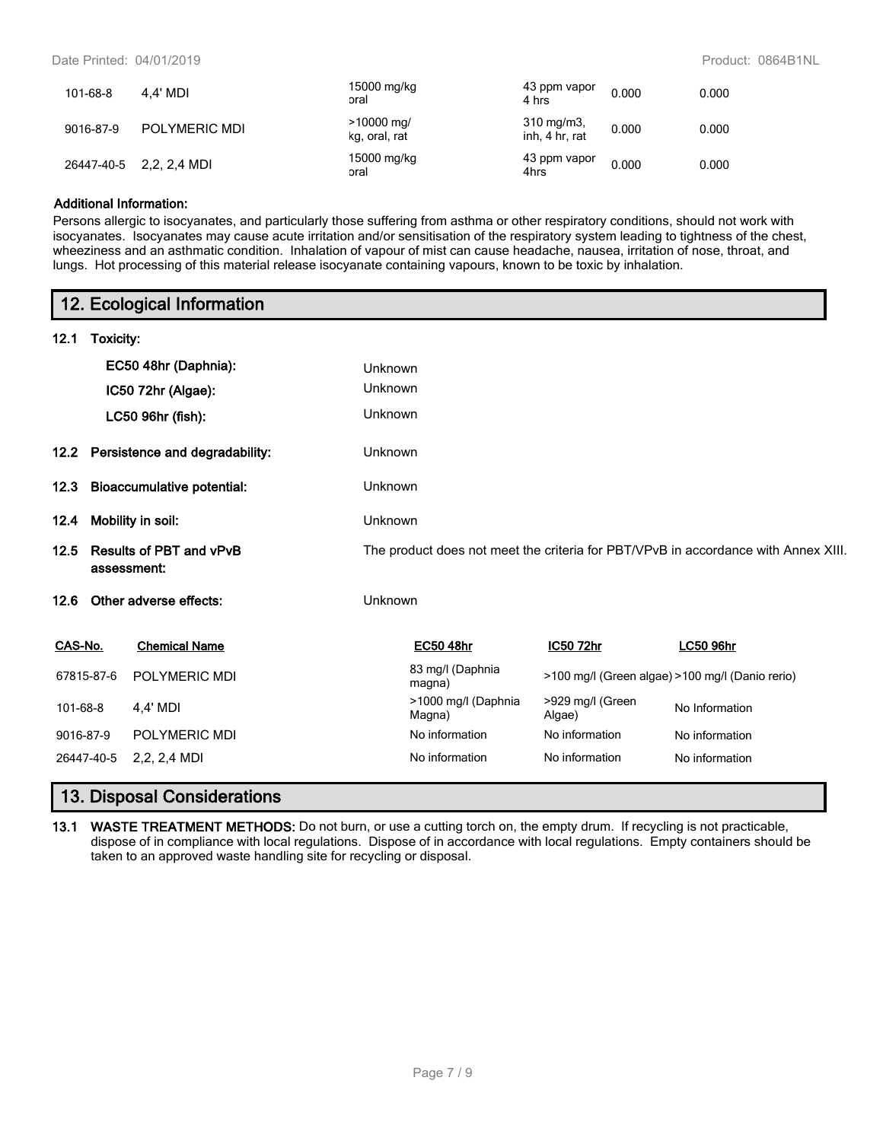Date Printed: 04/01/2019 Product: 0864B1NL

| 101-68-8   | 4.4' MDI      | 15000 mg/kg<br>oral           | 43 ppm vapor<br>4 hrs              | 0.000 | 0.000 |
|------------|---------------|-------------------------------|------------------------------------|-------|-------|
| 9016-87-9  | POLYMERIC MDI | $>10000$ mg/<br>kg, oral, rat | $310 \; mg/m3$ ,<br>inh, 4 hr, rat | 0.000 | 0.000 |
| 26447-40-5 | 2,2, 2,4 MDI  | 15000 mg/kg<br>oral           | 43 ppm vapor<br>4hrs               | 0.000 | 0.000 |

### **Additional Information:**

Persons allergic to isocyanates, and particularly those suffering from asthma or other respiratory conditions, should not work with isocyanates. Isocyanates may cause acute irritation and/or sensitisation of the respiratory system leading to tightness of the chest, wheeziness and an asthmatic condition. Inhalation of vapour of mist can cause headache, nausea, irritation of nose, throat, and lungs. Hot processing of this material release isocyanate containing vapours, known to be toxic by inhalation.

|            |           | 12. Ecological Information                    |         |                               |                            |                                                                                    |
|------------|-----------|-----------------------------------------------|---------|-------------------------------|----------------------------|------------------------------------------------------------------------------------|
| 12.1       | Toxicity: |                                               |         |                               |                            |                                                                                    |
|            |           | EC50 48hr (Daphnia):                          | Unknown |                               |                            |                                                                                    |
|            |           | IC50 72hr (Algae):                            | Unknown |                               |                            |                                                                                    |
|            |           | LC50 96hr (fish):                             | Unknown |                               |                            |                                                                                    |
|            |           | 12.2 Persistence and degradability:           | Unknown |                               |                            |                                                                                    |
| 12.3       |           | <b>Bioaccumulative potential:</b>             | Unknown |                               |                            |                                                                                    |
| 12.4       |           | Mobility in soil:                             | Unknown |                               |                            |                                                                                    |
| 12.5       |           | <b>Results of PBT and vPvB</b><br>assessment: |         |                               |                            | The product does not meet the criteria for PBT/VPvB in accordance with Annex XIII. |
| 12.6       |           | Other adverse effects:                        | Unknown |                               |                            |                                                                                    |
| CAS-No.    |           | <b>Chemical Name</b>                          |         | <b>EC50 48hr</b>              | IC50 72hr                  | <b>LC50 96hr</b>                                                                   |
| 67815-87-6 |           | POLYMERIC MDI                                 |         | 83 mg/l (Daphnia<br>magna)    |                            | >100 mg/l (Green algae) >100 mg/l (Danio rerio)                                    |
| 101-68-8   |           | 4,4' MDI                                      |         | >1000 mg/l (Daphnia<br>Magna) | >929 mg/l (Green<br>Algae) | No Information                                                                     |
| 9016-87-9  |           | <b>POLYMERIC MDI</b>                          |         | No information                | No information             | No information                                                                     |
| 26447-40-5 |           | $2,2, 2,4$ MDI                                |         | No information                | No information             | No information                                                                     |

## **13. Disposal Considerations**

**13.1 WASTE TREATMENT METHODS:** Do not burn, or use a cutting torch on, the empty drum. If recycling is not practicable, dispose of in compliance with local regulations. Dispose of in accordance with local regulations. Empty containers should be taken to an approved waste handling site for recycling or disposal.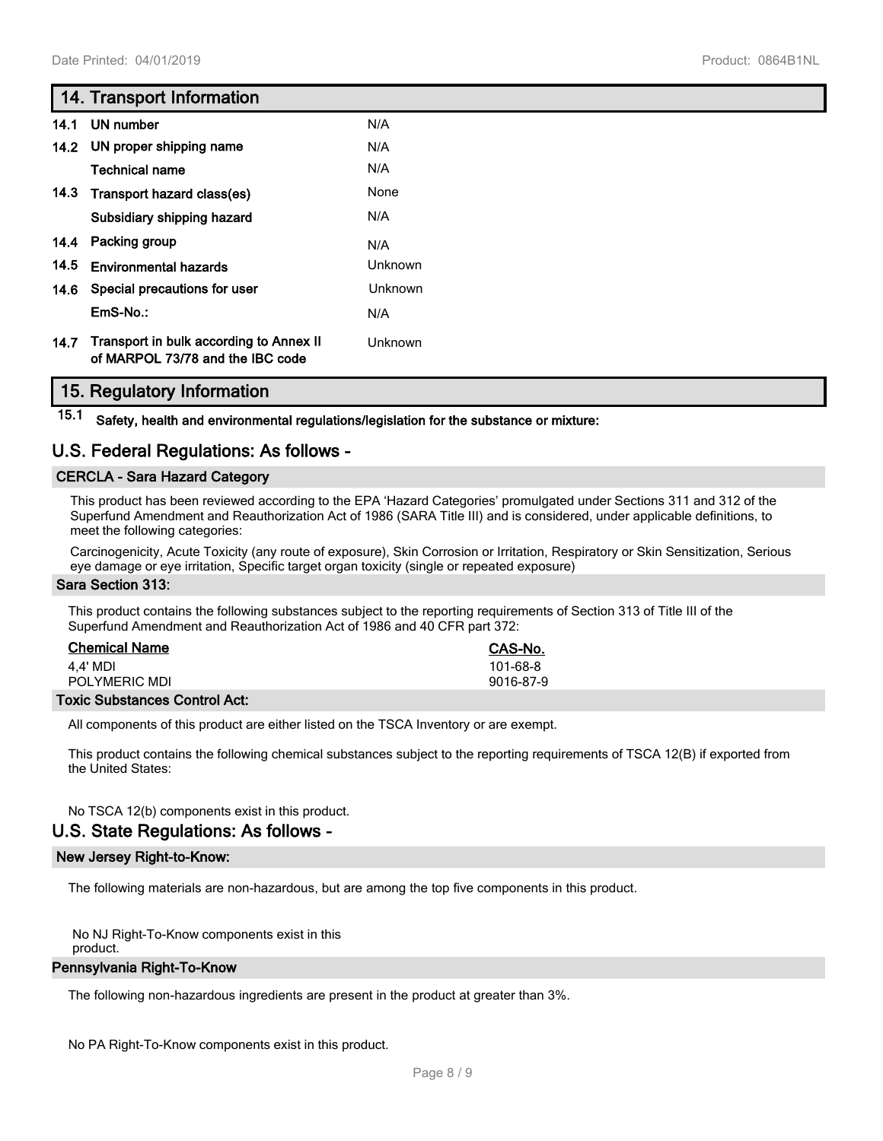## **14. Transport Information**

| 14.1 | UN number                                                                   | N/A     |
|------|-----------------------------------------------------------------------------|---------|
|      | 14.2 UN proper shipping name                                                | N/A     |
|      | Technical name                                                              | N/A     |
| 14.3 | Transport hazard class(es)                                                  | None    |
|      | Subsidiary shipping hazard                                                  | N/A     |
| 14.4 | Packing group                                                               | N/A     |
| 14.5 | <b>Environmental hazards</b>                                                | Unknown |
| 14.6 | Special precautions for user                                                | Unknown |
|      | $EmS-No.$ :                                                                 | N/A     |
| 14.7 | Transport in bulk according to Annex II<br>of MARPOL 73/78 and the IBC code | Unknown |

## **15. Regulatory Information**

**15.1 Safety, health and environmental regulations/legislation for the substance or mixture:**

# **U.S. Federal Regulations: As follows -**

### **CERCLA - Sara Hazard Category**

This product has been reviewed according to the EPA 'Hazard Categories' promulgated under Sections 311 and 312 of the Superfund Amendment and Reauthorization Act of 1986 (SARA Title III) and is considered, under applicable definitions, to meet the following categories:

Carcinogenicity, Acute Toxicity (any route of exposure), Skin Corrosion or Irritation, Respiratory or Skin Sensitization, Serious eye damage or eye irritation, Specific target organ toxicity (single or repeated exposure)

### **Sara Section 313:**

This product contains the following substances subject to the reporting requirements of Section 313 of Title III of the Superfund Amendment and Reauthorization Act of 1986 and 40 CFR part 372:

| <b>Chemical Name</b>                 | CAS-No.   |
|--------------------------------------|-----------|
| 4.4' MDI                             | 101-68-8  |
| POLYMERIC MDI                        | 9016-87-9 |
| <b>Toxic Substances Control Act:</b> |           |

All components of this product are either listed on the TSCA Inventory or are exempt.

This product contains the following chemical substances subject to the reporting requirements of TSCA 12(B) if exported from the United States:

No TSCA 12(b) components exist in this product.

## **U.S. State Regulations: As follows -**

### **New Jersey Right-to-Know:**

The following materials are non-hazardous, but are among the top five components in this product.

No NJ Right-To-Know components exist in this

product.

### **Pennsylvania Right-To-Know**

The following non-hazardous ingredients are present in the product at greater than 3%.

No PA Right-To-Know components exist in this product.